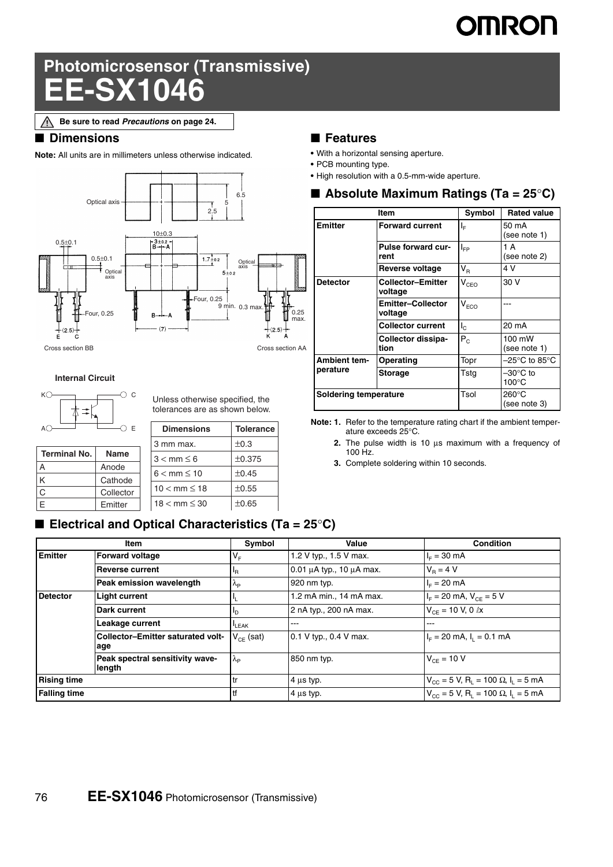# **OMRON**

## **Photomicrosensor (Transmissive) EE-SX1046**

### ■ **Dimensions**

**Note:** All units are in millimeters unless otherwise indicated.



#### **Internal Circuit**



Unless otherwise specified, the tolerances are as shown below.

|                     | E                    | <b>Dimensions</b>        | <b>Tolerance</b> |
|---------------------|----------------------|--------------------------|------------------|
|                     |                      | 3 mm max.                | ±0.3             |
| <b>Terminal No.</b> | <b>Name</b>          | $3 < \text{mm} \leq 6$   | ±0.375           |
| Α                   | Anode                | $6 < \text{mm} \leq 10$  | ±0.45            |
| Κ<br>Ć              | Cathode<br>Collector | $10 < \text{mm} \le 18$  | ±0.55            |
| E                   | Emitter              | $18 < \text{mm} \leq 30$ | $\pm 0.65$       |

### ■ **Features**

- **•** With a horizontal sensing aperture.
- **•** PCB mounting type.
- **•** High resolution with a 0.5-mm-wide aperture.

|  |  |  |  | ■ Absolute Maximum Ratings (Ta = 25°C) |
|--|--|--|--|----------------------------------------|
|--|--|--|--|----------------------------------------|

|                                 | Item                                | Symbol                      | <b>Rated value</b>              |
|---------------------------------|-------------------------------------|-----------------------------|---------------------------------|
| <b>Emitter</b>                  | <b>Forward current</b>              | ΙF                          | 50 mA<br>(see note 1)           |
|                                 | Pulse forward cur-<br>rent          | I⊧P                         | 1 A<br>(see note 2)             |
|                                 | Reverse voltage                     | $V_{R}$                     | 4 V                             |
| <b>Detector</b>                 | <b>Collector-Emitter</b><br>voltage | $V_{CEO}$                   | 30 V                            |
|                                 | <b>Emitter-Collector</b><br>voltage | $\mathsf{V}_{\mathsf{ECO}}$ |                                 |
|                                 | <b>Collector current</b>            | $I_{\rm c}$                 | 20 mA                           |
|                                 | Collector dissipa-<br>tion          | $P_{C}$                     | 100 mW<br>(see note 1)          |
| <b>Ambient tem-</b><br>perature | Operating                           | Topr                        | –25°C to 85°C                   |
|                                 | <b>Storage</b>                      | Tsta                        | –30°C to<br>$100^{\circ}$ C     |
| <b>Soldering temperature</b>    |                                     | Tsol                        | $260^{\circ}$ C<br>(see note 3) |

**Note: 1.** Refer to the temperature rating chart if the ambient temperature exceeds 25°C.

- **2.** The pulse width is 10 μs maximum with a frequency of 100 Hz.
- **3.** Complete soldering within 10 seconds.

### ■ **Electrical and Optical Characteristics (Ta = 25°C)**

| Item                |                                                 | Symbol               | Value                              | Condition                                                                    |
|---------------------|-------------------------------------------------|----------------------|------------------------------------|------------------------------------------------------------------------------|
| <b>Emitter</b>      | <b>Forward voltage</b>                          | V <sub>F</sub>       | 1.2 V typ., 1.5 V max.             | $I_F = 30 \text{ mA}$                                                        |
|                     | <b>Reverse current</b>                          | ΙŖ.                  | $0.01 \mu A$ typ., 10 $\mu A$ max. | $V_{\rm B} = 4 V$                                                            |
|                     | Peak emission wavelength                        | $\Lambda_{\text{P}}$ | 920 nm typ.                        | $I_F = 20$ mA                                                                |
| <b>Detector</b>     | <b>Light current</b>                            |                      | 1.2 mA min., 14 mA max.            | $I_F = 20$ mA, $V_{CF} = 5$ V                                                |
|                     | Dark current                                    | ים                   | 2 nA typ., 200 nA max.             | $V_{CF}$ = 10 V, 0 $\ell$ x                                                  |
|                     | Leakage current                                 | LEAK                 | $-- -$                             | ---                                                                          |
|                     | <b>Collector-Emitter saturated volt-</b><br>age | $V_{CF}$ (sat)       | 0.1 V typ., 0.4 V max.             | $I_F = 20$ mA, $I_1 = 0.1$ mA                                                |
|                     | Peak spectral sensitivity wave-<br>length       | $\Lambda_{\text{p}}$ | 850 nm typ.                        | $V_{CF} = 10 V$                                                              |
| <b>Rising time</b>  |                                                 | tr                   | $4 \mu s$ typ.                     | $V_{\text{CC}} = 5$ V, R <sub>1</sub> = 100 $\Omega$ , I <sub>1</sub> = 5 mA |
| <b>Falling time</b> |                                                 | tf                   | $4 \mu s$ typ.                     | $V_{CC}$ = 5 V, R <sub>1</sub> = 100 $\Omega$ , I <sub>1</sub> = 5 mA        |

**Be sure to read** *Precautions* **on page 24.**Λ